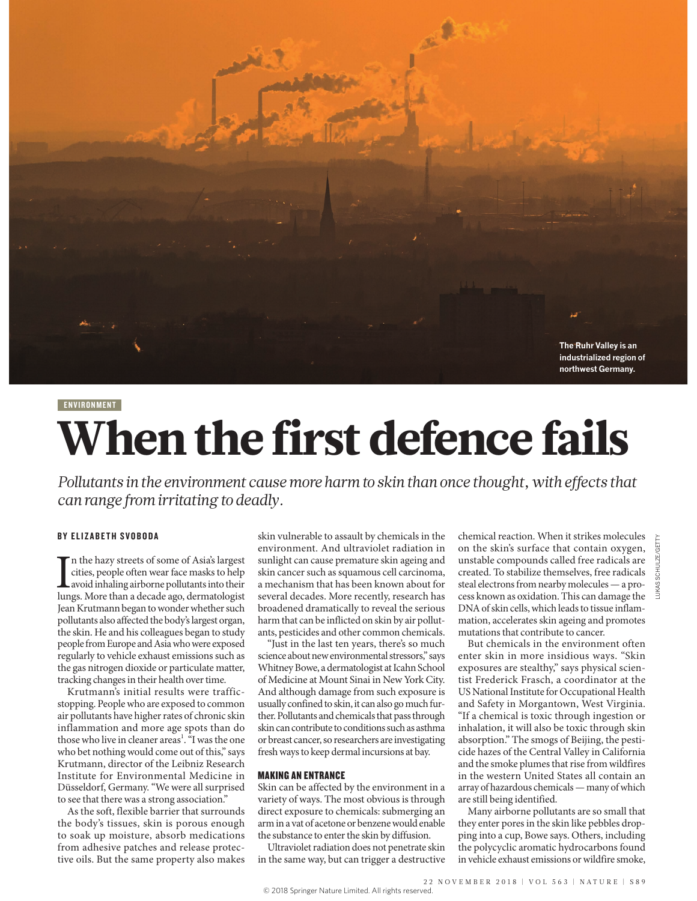

### **ENVIRONMENT**

# When the first defence fails

*Pollutants in the environment cause more harm to skin than once thought, with effects that can range from irritating to deadly.*

# BY ELIZABETH SVOBODA

In the hazy streets of some of Asia's largest<br>cities, people often wear face masks to help<br>avoid inhaling airborne pollutants into their<br>lungs. More than a decade ago, dermatologist n the hazy streets of some of Asia's largest cities, people often wear face masks to help avoid inhaling airborne pollutants into their Jean Krutmann began to wonder whether such pollutants also affected the body's largest organ, the skin. He and his colleagues began to study people from Europe and Asia who were exposed regularly to vehicle exhaust emissions such as the gas nitrogen dioxide or particulate matter, tracking changes in their health over time.

Krutmann's initial results were trafficstopping. People who are exposed to common air pollutants have higher rates of chronic skin inflammation and more age spots than do those who live in cleaner areas<sup>1</sup>. "I was the one who bet nothing would come out of this," says Krutmann, director of the Leibniz Research Institute for Environmental Medicine in Düsseldorf, Germany. "We were all surprised to see that there was a strong association."

As the soft, flexible barrier that surrounds the body's tissues, skin is porous enough to soak up moisture, absorb medications from adhesive patches and release protective oils. But the same property also makes skin vulnerable to assault by chemicals in the environment. And ultraviolet radiation in sunlight can cause premature skin ageing and skin cancer such as squamous cell carcinoma, a mechanism that has been known about for several decades. More recently, research has broadened dramatically to reveal the serious harm that can be inflicted on skin by air pollutants, pesticides and other common chemicals.

"Just in the last ten years, there's so much science about new environmental stressors," says Whitney Bowe, a dermatologist at Icahn School of Medicine at Mount Sinai in New York City. And although damage from such exposure is usually confined to skin, it can also go much further. Pollutants and chemicals that pass through skin can contribute to conditions such as asthma or breast cancer, so researchers are investigating fresh ways to keep dermal incursions at bay.

# MAKING AN ENTRANCE

Skin can be affected by the environment in a variety of ways. The most obvious is through direct exposure to chemicals: submerging an arm in a vat of acetone or benzene would enable the substance to enter the skin by diffusion.

Ultraviolet radiation does not penetrate skin in the same way, but can trigger a destructive chemical reaction. When it strikes molecules on the skin's surface that contain oxygen, unstable compounds called free radicals are created. To stabilize themselves, free radicals steal electrons from nearby molecules—a process known as oxidation. This can damage the DNA of skin cells, which leads to tissue inflammation, accelerates skin ageing and promotes mutations that contribute to cancer.

But chemicals in the environment often enter skin in more insidious ways. "Skin exposures are stealthy," says physical scientist Frederick Frasch, a coordinator at the US National Institute for Occupational Health and Safety in Morgantown, West Virginia. "If a chemical is toxic through ingestion or inhalation, it will also be toxic through skin absorption." The smogs of Beijing, the pesticide hazes of the Central Valley in California and the smoke plumes that rise from wildfires in the western United States all contain an array of hazardous chemicals—many of which are still being identified.

Many airborne pollutants are so small that they enter pores in the skin like pebbles dropping into a cup, Bowe says. Others, including the polycyclic aromatic hydrocarbons found in vehicle exhaust emissions or wildfire smoke,